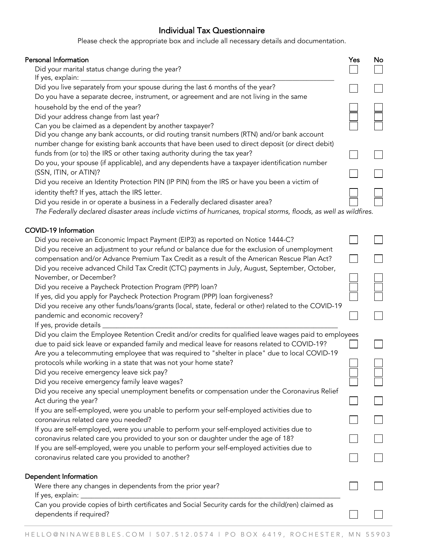## Individual Tax Questionnaire

Please check the appropriate box and include all necessary details and documentation.

| Personal Information                                                                                                                                                            | Yes | No |
|---------------------------------------------------------------------------------------------------------------------------------------------------------------------------------|-----|----|
| Did your marital status change during the year?<br>If yes, explain:                                                                                                             |     |    |
| Did you live separately from your spouse during the last 6 months of the year?<br>Do you have a separate decree, instrument, or agreement and are not living in the same        |     |    |
| household by the end of the year?                                                                                                                                               |     |    |
| Did your address change from last year?                                                                                                                                         |     |    |
| Can you be claimed as a dependent by another taxpayer?                                                                                                                          |     |    |
| Did you change any bank accounts, or did routing transit numbers (RTN) and/or bank account                                                                                      |     |    |
| number change for existing bank accounts that have been used to direct deposit (or direct debit)                                                                                |     |    |
| funds from (or to) the IRS or other taxing authority during the tax year?                                                                                                       |     |    |
| Do you, your spouse (if applicable), and any dependents have a taxpayer identification number                                                                                   |     |    |
| (SSN, ITIN, or ATIN)?                                                                                                                                                           |     |    |
| Did you receive an Identity Protection PIN (IP PIN) from the IRS or have you been a victim of                                                                                   |     |    |
| identity theft? If yes, attach the IRS letter.                                                                                                                                  |     |    |
| Did you reside in or operate a business in a Federally declared disaster area?                                                                                                  |     |    |
| The Federally declared disaster areas include victims of hurricanes, tropical storms, floods, as well as wildfires.                                                             |     |    |
| <b>COVID-19 Information</b>                                                                                                                                                     |     |    |
| Did you receive an Economic Impact Payment (EIP3) as reported on Notice 1444-C?                                                                                                 |     |    |
| Did you receive an adjustment to your refund or balance due for the exclusion of unemployment                                                                                   |     |    |
| compensation and/or Advance Premium Tax Credit as a result of the American Rescue Plan Act?                                                                                     |     |    |
| Did you receive advanced Child Tax Credit (CTC) payments in July, August, September, October,                                                                                   |     |    |
| November, or December?                                                                                                                                                          |     |    |
| Did you receive a Paycheck Protection Program (PPP) loan?                                                                                                                       |     |    |
| If yes, did you apply for Paycheck Protection Program (PPP) loan forgiveness?                                                                                                   |     |    |
| Did you receive any other funds/loans/grants (local, state, federal or other) related to the COVID-19                                                                           |     |    |
| pandemic and economic recovery?                                                                                                                                                 |     |    |
| If yes, provide details _                                                                                                                                                       |     |    |
| Did you claim the Employee Retention Credit and/or credits for qualified leave wages paid to employees                                                                          |     |    |
| due to paid sick leave or expanded family and medical leave for reasons related to COVID-19?                                                                                    |     |    |
| Are you a telecommuting employee that was required to "shelter in place" due to local COVID-19                                                                                  |     |    |
| protocols while working in a state that was not your home state?                                                                                                                |     |    |
| Did you receive emergency leave sick pay?                                                                                                                                       |     |    |
| Did you receive emergency family leave wages?                                                                                                                                   |     |    |
| Did you receive any special unemployment benefits or compensation under the Coronavirus Relief                                                                                  |     |    |
| Act during the year?                                                                                                                                                            |     |    |
| If you are self-employed, were you unable to perform your self-employed activities due to                                                                                       |     |    |
| coronavirus related care you needed?                                                                                                                                            |     |    |
| If you are self-employed, were you unable to perform your self-employed activities due to<br>coronavirus related care you provided to your son or daughter under the age of 18? |     |    |
| If you are self-employed, were you unable to perform your self-employed activities due to                                                                                       |     |    |
| coronavirus related care you provided to another?                                                                                                                               |     |    |
| Dependent Information                                                                                                                                                           |     |    |
| Were there any changes in dependents from the prior year?                                                                                                                       |     |    |
| If yes, explain:                                                                                                                                                                |     |    |
| Can you provide copies of birth certificates and Social Security cards for the child(ren) claimed as                                                                            |     |    |
| dependents if required?                                                                                                                                                         |     |    |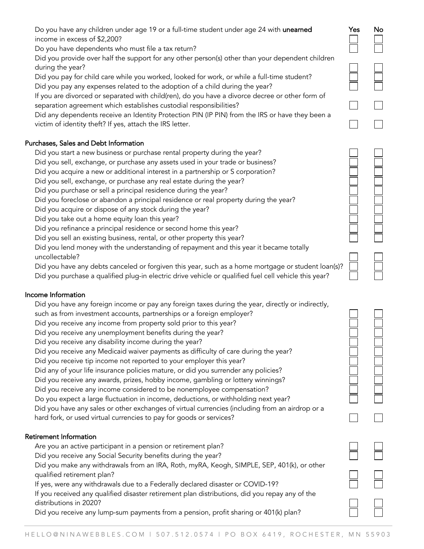Do you have any children under age 19 or a full-time student under age 24 with **unearned** Yes No income in excess of \$2,200?

Do you have dependents who must file a tax return?

Did you provide over half the support for any other person(s) other than your dependent children during the year?

Did you pay for child care while you worked, looked for work, or while a full-time student? Did you pay any expenses related to the adoption of a child during the year?

If you are divorced or separated with child(ren), do you have a divorce decree or other form of separation agreement which establishes custodial responsibilities?

Did any dependents receive an Identity Protection PIN (IP PIN) from the IRS or have they been a victim of identity theft? If yes, attach the IRS letter.

## Purchases, Sales and Debt Information

Did you start a new business or purchase rental property during the year?

Did you sell, exchange, or purchase any assets used in your trade or business?

Did you acquire a new or additional interest in a partnership or S corporation?

Did you sell, exchange, or purchase any real estate during the year?

Did you purchase or sell a principal residence during the year?

Did you foreclose or abandon a principal residence or real property during the year?

Did you acquire or dispose of any stock during the year?

Did you take out a home equity loan this year?

Did you refinance a principal residence or second home this year?

Did you sell an existing business, rental, or other property this year?

Did you lend money with the understanding of repayment and this year it became totally uncollectable?

Did you have any debts canceled or forgiven this year, such as a home mortgage or student loan(s)? Did you purchase a qualified plug-in electric drive vehicle or qualified fuel cell vehicle this year?

## Income Information

Did you have any foreign income or pay any foreign taxes during the year, directly or indirectly, such as from investment accounts, partnerships or a foreign employer?

Did you receive any income from property sold prior to this year?

Did you receive any unemployment benefits during the year?

Did you receive any disability income during the year?

Did you receive any Medicaid waiver payments as difficulty of care during the year?

Did you receive tip income not reported to your employer this year?

Did any of your life insurance policies mature, or did you surrender any policies?

Did you receive any awards, prizes, hobby income, gambling or lottery winnings?

Did you receive any income considered to be nonemployee compensation?

Do you expect a large fluctuation in income, deductions, or withholding next year?

 Did you have any sales or other exchanges of virtual currencies (including from an airdrop or a hard fork, or used virtual currencies to pay for goods or services?

# Retirement Information

Are you an active participant in a pension or retirement plan?

Did you receive any Social Security benefits during the year?

Did you make any withdrawals from an IRA, Roth, myRA, Keogh, SIMPLE, SEP, 401(k), or other qualified retirement plan?

If yes, were any withdrawals due to a Federally declared disaster or COVID-19?

If you received any qualified disaster retirement plan distributions, did you repay any of the distributions in 2020?

Did you receive any lump-sum payments from a pension, profit sharing or 401(k) plan?



| I |
|---|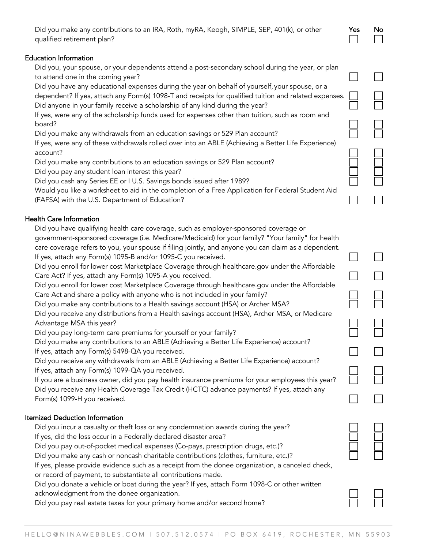| Did you make any contributions to an IRA, Roth, myRA, Keogh, SIMPLE, SEP, 401(k), or other | <b>Yes</b> | No |
|--------------------------------------------------------------------------------------------|------------|----|
| qualified retirement plan?                                                                 |            |    |

#### Education Information

Did you, your spouse, or your dependents attend a post-secondary school during the year, or plan to attend one in the coming year?

Did you have any educational expenses during the year on behalf of yourself, your spouse, or a dependent? If yes, attach any Form(s) 1098-T and receipts for qualified tuition and related expenses. Did anyone in your family receive a scholarship of any kind during the year?

If yes, were any of the scholarship funds used for expenses other than tuition, such as room and board?

Did you make any withdrawals from an education savings or 529 Plan account?

If yes, were any of these withdrawals rolled over into an ABLE (Achieving a Better Life Experience) account?

Did you make any contributions to an education savings or 529 Plan account?

Did you pay any student loan interest this year?

Did you cash any Series EE or I U.S. Savings bonds issued after 1989?

Would you like a worksheet to aid in the completion of a Free Application for Federal Student Aid (FAFSA) with the U.S. Department of Education?

### Health Care Information

Did you have qualifying health care coverage, such as employer-sponsored coverage or

government-sponsored coverage (i.e. Medicare/Medicaid) for your family? "Your family" for health care coverage refers to you, your spouse if filing jointly, and anyone you can claim as a dependent.

If yes, attach any Form(s) 1095-B and/or 1095-C you received.

Did you enroll for lower cost Marketplace Coverage through healthcare.gov under the Affordable Care Act? If yes, attach any Form(s) 1095-A you received.

Did you enroll for lower cost Marketplace Coverage through healthcare.gov under the Affordable Care Act and share a policy with anyone who is not included in your family?

Did you make any contributions to a Health savings account (HSA) or Archer MSA?

Did you receive any distributions from a Health savings account (HSA), Archer MSA, or Medicare Advantage MSA this year?

Did you pay long-term care premiums for yourself or your family?

Did you make any contributions to an ABLE (Achieving a Better Life Experience) account? If yes, attach any Form(s) 5498-QA you received.

Did you receive any withdrawals from an ABLE (Achieving a Better Life Experience) account? If yes, attach any Form(s) 1099-QA you received.

If you are a business owner, did you pay health insurance premiums for your employees this year? Did you receive any Health Coverage Tax Credit (HCTC) advance payments? If yes, attach any Form(s) 1099-H you received.

### Itemized Deduction Information

Did you incur a casualty or theft loss or any condemnation awards during the year? If yes, did the loss occur in a Federally declared disaster area?

Did you pay out-of-pocket medical expenses (Co-pays, prescription drugs, etc.)?

Did you make any cash or noncash charitable contributions (clothes, furniture, etc.)?

If yes, please provide evidence such as a receipt from the donee organization, a canceled check, or record of payment, to substantiate all contributions made.

Did you donate a vehicle or boat during the year? If yes, attach Form 1098-C or other written acknowledgment from the donee organization.

Did you pay real estate taxes for your primary home and/or second home?

|  | l |
|--|---|
|  | I |